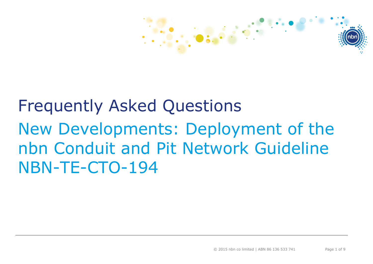

## Frequently Asked Questions New Developments: Deployment of the nbn Conduit and Pit Network Guideline NBN-TE-CTO-194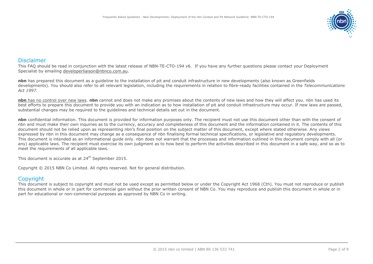

## Disclaimer

This FAQ should be read in conjunction with the latest release of NBN-TE-CTO-194 v6. If you have any further questions please contact your Deployment Specialist by emailing [developerliaison@nbnco.com.au.](mailto:developerliaison@nbnco.com.au)

**nbn** has prepared this document as a guideline to the installation of pit and conduit infrastructure in new developments (also known as Greenfields developments). You should also refer to all relevant legislation, including the requirements in relation to fibre-ready facilities contained in the *Telecommunications Act 1997.*

**nbn** has no control over new laws. **nbn** cannot and does not make any promises about the contents of new laws and how they will affect you. nbn has used its best efforts to prepare this document to provide you with an indication as to how installation of pit and conduit infrastructure may occur. If new laws are passed, substantial changes may be required to the guidelines and technical details set out in the document.

**nbn** confidential information. This document is provided for information purposes only. The recipient must not use this document other than with the consent of nbn and must make their own inquiries as to the currency, accuracy and completeness of this document and the information contained in it. The contents of this document should not be relied upon as representing nbn's final position on the subject matter of this document, except where stated otherwise. Any views expressed by nbn in this document may change as a consequence of nbn finalising formal technical specifications, or legislative and regulatory developments. This document is intended as an informational guide only. nbn does not warrant that the processes and information outlined in this document comply with all (or any) applicable laws. The recipient must exercise its own judgment as to how best to perform the activities described in this document in a safe way, and so as to meet the requirements of all applicable laws.

This document is accurate as at 24<sup>th</sup> September 2015.

Copyright © 2015 NBN Co Limited. All rights reserved. Not for general distribution.

## **Copyright**

This document is subject to copyright and must not be used except as permitted below or under the Copyright Act 1968 (Cth). You must not reproduce or publish this document in whole or in part for commercial gain without the prior written consent of NBN Co. You may reproduce and publish this document in whole or in part for educational or non-commercial purposes as approved by NBN Co in writing.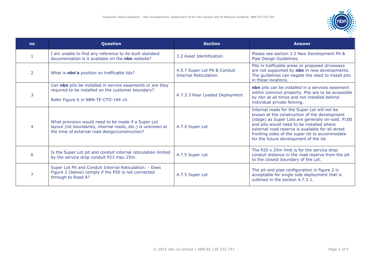

| n <sub>o</sub> | Question                                                                                                                                                             | <b>Section</b>                                          | <b>Answer</b>                                                                                                                                                                                                                                                                                                                                   |
|----------------|----------------------------------------------------------------------------------------------------------------------------------------------------------------------|---------------------------------------------------------|-------------------------------------------------------------------------------------------------------------------------------------------------------------------------------------------------------------------------------------------------------------------------------------------------------------------------------------------------|
|                | I am unable to find any reference to As-built standard<br>documentation is it available on the nbn website?                                                          | 3.2 Asset Identification                                | Please see section 3.2 New Development Pit &<br>Pipe Design Guidelines.                                                                                                                                                                                                                                                                         |
| 2              | What is <b>nbn's</b> position on trafficable lids?                                                                                                                   | 4.5.7 Super Lot Pit & Conduit<br>Internal Reticulation. | Pits in trafficable areas or proposed driveways<br>are not supported by nbn in new developments.<br>The guidelines can negate the need to install pits<br>in these locations.                                                                                                                                                                   |
| 3              | Can nbn pits be installed in service easements or are they<br>required to be installed on the customer boundary?<br>Refer Figure 6 in NBN-TE-CTO-194 v5.             | 4.7.3.3 Rear Loaded Deployment                          | nbn pits can be installed in a services easement<br>within common property. Pits are to be accessible<br>by nbn at all times and not installed behind<br>individual private fencing.                                                                                                                                                            |
|                | What provision would need to be made if a Super Lot<br>layout (lot boundaries, internal roads, etc.) is unknown at<br>the time of external road design/construction? | 4.7.4 Super Lot                                         | Internal roads for the Super Lot will not be<br>known at the construction of the development<br>(stage) as Super Lots are generally on-sold. P100<br>and pits would need to be installed where<br>external road reserve is available for all street<br>fronting sides of the super lot to accommodate<br>for the future development of the lot. |
| 6              | Is the Super Lot pit and conduit internal reticulation limited<br>by the service drop conduit P23 max 25m.                                                           | 4.7.5 Super Lot                                         | The P20 x 25m limit is for the service drop<br>conduit distance in the road reserve from the pit<br>to the closest boundary of the Lot.                                                                                                                                                                                                         |
|                | Super Lot Pit and Conduit Internal Reticulation: - Does<br>Figure 2 (below) comply if the P50 is not connected<br>through to Road A?                                 | 4.7.5 Super Lot                                         | The pit and pipe configuration in figure 2 is<br>acceptable for single side deployment that is<br>outlined in the section 4.7.2.1.                                                                                                                                                                                                              |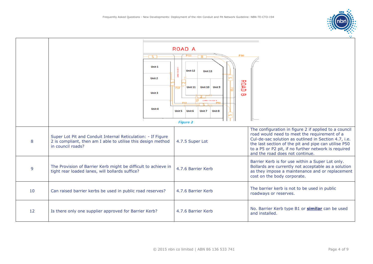

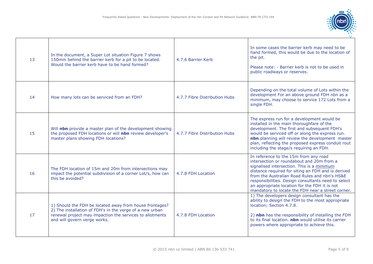

| 13 | In the document, a Super Lot situation Figure 7 shows<br>150mm behind the barrier kerb for a pit to be located.<br>Would the barrier kerb have to be hand formed?                                               | 4.7.6 Barrier Kerb            | In some cases the barrier kerb may need to be<br>hand formed, this would be due to the location of<br>the pit.<br>Please note: - Barrier kerb is not to be used in<br>public roadways or reserves.                                                                                                                                                                                                   |
|----|-----------------------------------------------------------------------------------------------------------------------------------------------------------------------------------------------------------------|-------------------------------|------------------------------------------------------------------------------------------------------------------------------------------------------------------------------------------------------------------------------------------------------------------------------------------------------------------------------------------------------------------------------------------------------|
| 14 | How many lots can be serviced from an FDH?                                                                                                                                                                      | 4.7.7 Fibre Distribution Hubs | Depending on the total volume of Lots within the<br>development For an above ground FDH nbn as a<br>minimum, may choose to service 172 Lots from a<br>single FDH.                                                                                                                                                                                                                                    |
| 15 | Will nbn provide a master plan of the development showing<br>the proposed FDH locations or will nbn review developer's<br>master plans showing FDH locations?                                                   | 4.7.7 Fibre Distribution Hubs | The express run for a development would be<br>installed in the main thoroughfare of the<br>development. The first and subsequent FDH's<br>would be serviced off or along the express run.<br>nbn planning will review the development master<br>plan, reflecting the proposed express conduit rout<br>including the stage/s requiring an FDH.                                                        |
| 16 | The FDH location of 15m and 20m from intersections may<br>impact the potential subdivision of a corner Lot/s, how can<br>this be avoided?                                                                       | 4.7.8 FDH Location            | In reference to the 15m from any road<br>intersection or roundabout and 20m from a<br>signalised intersection. This is a minimum<br>distance required for siting an FDH and is derived<br>from the Australian Road Rules and nbn's HS&E<br>responsibilities. Design consultants need to select<br>an appropriate location for the FDH it is not<br>mandatory to locate the FDH near a street corner. |
| 17 | 1) Should the FDH be located away from house frontages?<br>2) The installation of FDH's in the verge of a new urban<br>renewal project may impaction the services to allotments<br>and will govern verge works. | 4.7.8 FDH Location            | 1) The developers design consultant has the<br>ability to design the FDH to the most appropriate<br>location; Section 4.7.8.<br>2) nbn has the responsibility of installing the FDH<br>to its final location. nbn would utilise its carrier<br>powers where appropriate to achieve this.                                                                                                             |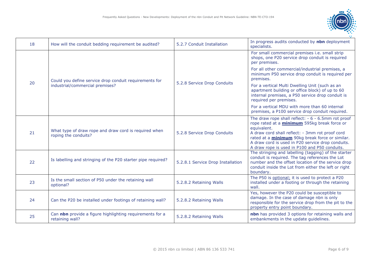

| 18 | How will the conduit bedding requirement be audited?                                      | 5.2.7 Conduit Installation        | In progress audits conducted by nbn deployment<br>specialists.                                                                                                                                                                                                                                                                                |
|----|-------------------------------------------------------------------------------------------|-----------------------------------|-----------------------------------------------------------------------------------------------------------------------------------------------------------------------------------------------------------------------------------------------------------------------------------------------------------------------------------------------|
| 20 | Could you define service drop conduit requirements for<br>industrial/commercial premises? | 5.2.8 Service Drop Conduits       | For small commercial premises i.e. small strip<br>shops, one P20 service drop conduit is required<br>per premises.                                                                                                                                                                                                                            |
|    |                                                                                           |                                   | For all other commercial/industrial premises, a<br>minimum P50 service drop conduit is required per<br>premises.                                                                                                                                                                                                                              |
|    |                                                                                           |                                   | For a vertical Multi Dwelling Unit (such as an<br>apartment building or office block) of up to 60<br>internal premises, a P50 service drop conduit is<br>required per premises.                                                                                                                                                               |
|    |                                                                                           |                                   | For a vertical MDU with more than 60 internal<br>premises, a P100 service drop conduit required.                                                                                                                                                                                                                                              |
| 21 | What type of draw rope and draw cord is required when<br>roping the conduits?             | 5.2.8 Service Drop Conduits       | The draw rope shall reflect: $-6 - 6.5$ mm rot proof<br>rope rated at a <i>minimum</i> 595kg break force or<br>equivalent.<br>A draw cord shall reflect: - 3mm rot proof cord<br>rated at a <i>minimum</i> 90kg break force or similar.<br>A draw cord is used in P20 service drop conduits.<br>A draw rope is used in P100 and P50 conduits. |
| 22 | Is labelling and stringing of the P20 starter pipe required?                              | 5.2.8.1 Service Drop Installation | The stringing and labelling (tagging) of the starter<br>conduit is required. The tag references the Lot<br>number and the offset location of the service drop<br>conduit inside the Lot from either the left or right<br>boundary.                                                                                                            |
| 23 | Is the small section of P50 under the retaining wall<br>optional?                         | 5.2.8.2 Retaining Walls           | The P50 is optional; it is used to protect a P20<br>installed under a footing or through the retaining<br>wall.                                                                                                                                                                                                                               |
| 24 | Can the P20 be installed under footings of retaining wall?                                | 5.2.8.2 Retaining Walls           | Yes, however the P20 could be susceptible to<br>damage. In the case of damage nbn is only<br>responsible for the service drop from the pit to the<br>property entry point boundary.                                                                                                                                                           |
| 25 | Can nbn provide a figure highlighting requirements for a<br>retaining wall?               | 5.2.8.2 Retaining Walls           | nbn has provided 3 options for retaining walls and<br>embankments in the update guidelines.                                                                                                                                                                                                                                                   |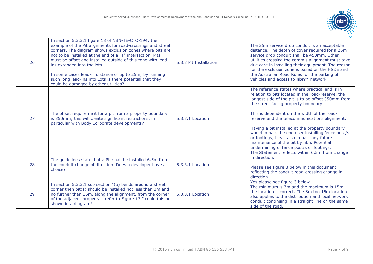

| 26 | In section 5.3.3.1 figure 13 of NBN-TE-CTO-194; the<br>example of the Pit alignments for road-crossings and street<br>corners. The diagram shows exclusion zones where pits are<br>not to be installed at the end of a "T" intersection. Pits<br>must be offset and installed outside of this zone with lead-<br>ins extended into the lots.<br>In some cases lead-in distance of up to 25m; by running<br>such long lead-ins into Lots is there potential that they<br>could be damaged by other utilities? | 5.3.3 Pit Installation | The 25m service drop conduit is an acceptable<br>distance. The depth of cover required for a 25m<br>service drop conduit shall be 450mm. Other<br>utilities crossing the comm's alignment must take<br>due care in installing their equipment. The reason<br>for the exclusion zone is based on the HS&E and<br>the Australian Road Rules for the parking of<br>vehicles and access to nbn™ network.                                                                                                                                             |
|----|--------------------------------------------------------------------------------------------------------------------------------------------------------------------------------------------------------------------------------------------------------------------------------------------------------------------------------------------------------------------------------------------------------------------------------------------------------------------------------------------------------------|------------------------|--------------------------------------------------------------------------------------------------------------------------------------------------------------------------------------------------------------------------------------------------------------------------------------------------------------------------------------------------------------------------------------------------------------------------------------------------------------------------------------------------------------------------------------------------|
| 27 | The offset requirement for a pit from a property boundary<br>is 350mm; this will create significant restrictions, in<br>particular with Body Corporate developments?                                                                                                                                                                                                                                                                                                                                         | 5.3.3.1 Location       | The reference states where practical and is in<br>relation to pits located in the road-reserve, the<br>longest side of the pit is to be offset 350mm from<br>the street facing property boundary.<br>This is dependent on the width of the road-<br>reserve and the telecommunications alignment.<br>Having a pit installed at the property boundary<br>would impact the end user installing fence post/s<br>or footings; it will also impact any future<br>maintenance of the pit by nbn. Potential<br>undermining of fence post/s or footings. |
| 28 | The guidelines state that a Pit shall be installed 6.5m from<br>the conduit change of direction. Does a developer have a<br>choice?                                                                                                                                                                                                                                                                                                                                                                          | 5.3.3.1 Location       | The Statement reflects within 6.5m from change<br>in direction.<br>Please see figure 3 below in this document<br>reflecting the conduit road-crossing change in<br>direction.                                                                                                                                                                                                                                                                                                                                                                    |
| 29 | In section 5.3.3.1 sub section "(b) bends around a street<br>corner then pit(s) should be installed not less than 3m and<br>no further than 15m, along the alignment, from the corner<br>of the adjacent property - refer to Figure 13." could this be<br>shown in a diagram?                                                                                                                                                                                                                                | 5.3.3.1 Location       | Yes please see figure 3 below.<br>The minimum is 3m and the maximum is 15m,<br>the location is correct. The 3m too 15m location<br>also applies to the distribution and local network<br>conduit continuing in a straight line on the same<br>side of the road.                                                                                                                                                                                                                                                                                  |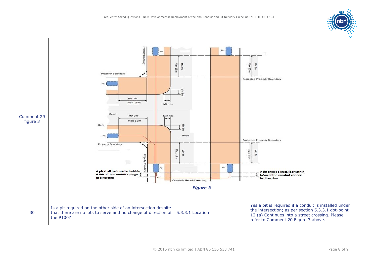